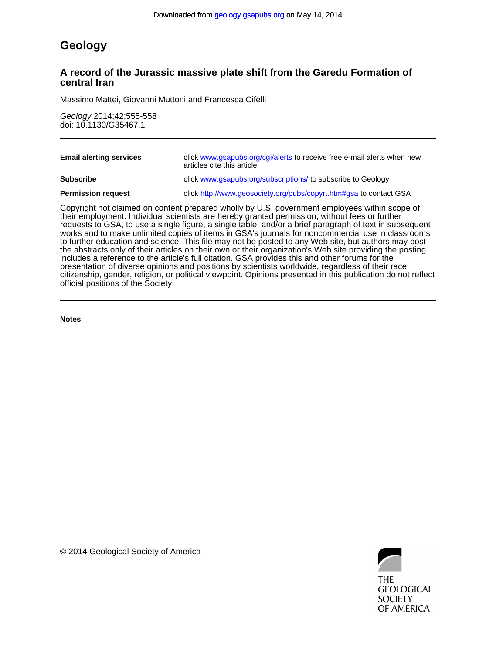# **Geology**

## **central Iran A record of the Jurassic massive plate shift from the Garedu Formation of**

Massimo Mattei, Giovanni Muttoni and Francesca Cifelli

doi: 10.1130/G35467.1 Geology 2014;42;555-558

| <b>Email alerting services</b>                                                                                                                                                                  | click www.gsapubs.org/cgi/alerts to receive free e-mail alerts when new<br>articles cite this article |
|-------------------------------------------------------------------------------------------------------------------------------------------------------------------------------------------------|-------------------------------------------------------------------------------------------------------|
| <b>Subscribe</b>                                                                                                                                                                                | click www.gsapubs.org/subscriptions/ to subscribe to Geology                                          |
| <b>Permission request</b>                                                                                                                                                                       | click http://www.geosociety.org/pubs/copyrt.htm#gsa to contact GSA                                    |
| Copyright not claimed on content prepared wholly by U.S. government employees within scope of<br>their employment. Individual scientists are hereby granted permission, without fees or further |                                                                                                       |

official positions of the Society. citizenship, gender, religion, or political viewpoint. Opinions presented in this publication do not reflect presentation of diverse opinions and positions by scientists worldwide, regardless of their race, includes a reference to the article's full citation. GSA provides this and other forums for the the abstracts only of their articles on their own or their organization's Web site providing the posting to further education and science. This file may not be posted to any Web site, but authors may post works and to make unlimited copies of items in GSA's journals for noncommercial use in classrooms requests to GSA, to use a single figure, a single table, and/or a brief paragraph of text in subsequent

**Notes**



© 2014 Geological Society of America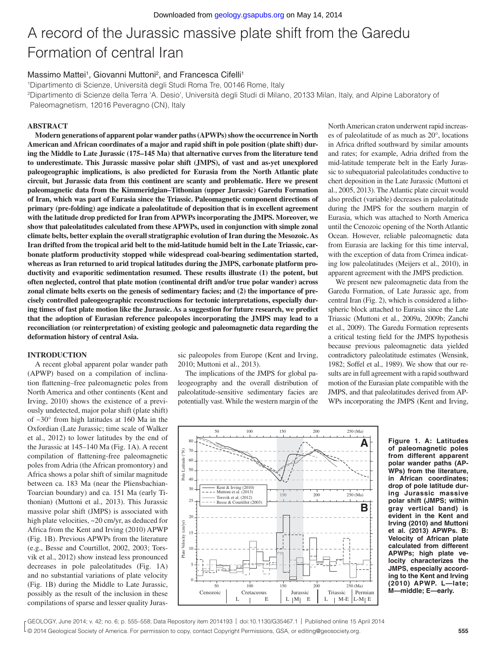# A record of the Jurassic massive plate shift from the Garedu Formation of central Iran

### Massimo Mattei<sup>1</sup>, Giovanni Muttoni<sup>2</sup>, and Francesca Cifelli<sup>1</sup>

1Dipartimento di Scienze, Università degli Studi Roma Tre, 00146 Rome, Italy 2 Dipartimento di Scienze della Terra 'A. Desio', Università degli Studi di Milano, 20133 Milan, Italy, and Alpine Laboratory of

Paleomagnetism, 12016 Peveragno (CN), Italy

#### **ABSTRACT**

**Modern generations of apparent polar wander paths (APWPs) show the occurrence in North American and African coordinates of a major and rapid shift in pole position (plate shift) during the Middle to Late Jurassic (175–145 Ma) that alternative curves from the literature tend to underestimate. This Jurassic massive polar shift (JMPS), of vast and as-yet unexplored paleogeographic implications, is also predicted for Eurasia from the North Atlantic plate circuit, but Jurassic data from this continent are scanty and problematic. Here we present paleomagnetic data from the Kimmeridgian–Tithonian (upper Jurassic) Garedu Formation of Iran, which was part of Eurasia since the Triassic. Paleomagnetic component directions of primary (pre-folding) age indicate a paleolatitude of deposition that is in excellent agreement with the latitude drop predicted for Iran from APWPs incorporating the JMPS. Moreover, we show that paleolatitudes calculated from these APWPs, used in conjunction with simple zonal climate belts, better explain the overall stratigraphic evolution of Iran during the Mesozoic. As Iran drifted from the tropical arid belt to the mid-latitude humid belt in the Late Triassic, carbonate platform productivity stopped while widespread coal-bearing sedimentation started, whereas as Iran returned to arid tropical latitudes during the JMPS, carbonate platform productivity and evaporitic sedimentation resumed. These results illustrate (1) the potent, but often neglected, control that plate motion (continental drift and/or true polar wander) across zonal climate belts exerts on the genesis of sedimentary facies; and (2) the importance of precisely controlled paleogeographic reconstructions for tectonic interpretations, especially during times of fast plate motion like the Jurassic. As a suggestion for future research, we predict that the adoption of Eurasian reference paleopoles incorporating the JMPS may lead to a reconciliation (or reinterpretation) of existing geologic and paleomagnetic data regarding the deformation history of central Asia.**

#### **INTRODUCTION**

A recent global apparent polar wander path (APWP) based on a compilation of inclination flattening–free paleomagnetic poles from North America and other continents (Kent and Irving, 2010) shows the existence of a previously undetected, major polar shift (plate shift) of ∼30° from high latitudes at 160 Ma in the Oxfordian (Late Jurassic; time scale of Walker et al., 2012) to lower latitudes by the end of the Jurassic at 145–140 Ma (Fig. 1A). A recent compilation of flattening-free paleomagnetic poles from Adria (the African promontory) and Africa shows a polar shift of similar magnitude between ca. 183 Ma (near the Pliensbachian-Toarcian boundary) and ca. 151 Ma (early Tithonian) (Muttoni et al., 2013). This Jurassic massive polar shift (JMPS) is associated with high plate velocities,  $\sim$ 20 cm/yr, as deduced for Africa from the Kent and Irving (2010) APWP (Fig. 1B). Previous APWPs from the literature (e.g., Besse and Courtillot, 2002, 2003; Torsvik et al., 2012) show instead less pronounced decreases in pole paleolatitudes (Fig. 1A) and no substantial variations of plate velocity (Fig. 1B) during the Middle to Late Jurassic, possibly as the result of the inclusion in these compilations of sparse and lesser quality Juras-

sic paleopoles from Europe (Kent and Irving, 2010; Muttoni et al., 2013).

The implications of the JMPS for global paleogeography and the overall distribution of paleolatitude-sensitive sedimentary facies are potentially vast. While the western margin of the North American craton underwent rapid increases of paleolatitude of as much as 20°, locations in Africa drifted southward by similar amounts and rates; for example, Adria drifted from the mid-latitude temperate belt in the Early Jurassic to subequatorial paleolatitudes conductive to chert deposition in the Late Jurassic (Muttoni et al., 2005, 2013). The Atlantic plate circuit would also predict (variable) decreases in paleolatitude during the JMPS for the southern margin of Eurasia, which was attached to North America until the Cenozoic opening of the North Atlantic Ocean. However, reliable paleomagnetic data from Eurasia are lacking for this time interval, with the exception of data from Crimea indicating low paleolatitudes (Meijers et al., 2010), in apparent agreement with the JMPS prediction.

We present new paleomagnetic data from the Garedu Formation, of Late Jurassic age, from central Iran (Fig. 2), which is considered a lithospheric block attached to Eurasia since the Late Triassic (Muttoni et al., 2009a, 2009b; Zanchi et al., 2009). The Garedu Formation represents a critical testing field for the JMPS hypothesis because previous paleomagnetic data yielded contradictory paleolatitude estimates (Wensink, 1982; Soffel et al., 1989). We show that our results are in full agreement with a rapid southward motion of the Eurasian plate compatible with the JMPS, and that paleolatitudes derived from AP-WPs incorporating the JMPS (Kent and Irving,



**Figure 1. A: Latitudes of paleomagnetic poles from different apparent polar wander paths (AP-WPs) from the literature, in African coordinates; drop of pole latitude during Jurassic massive polar shift (JMPS; within gray vertical band) is evident in the Kent and Irving (2010) and Muttoni et al. (2013) APWPs. B: Velocity of African plate calculated from different APWPs; high plate velocity characterizes the JMPS, especially according to the Kent and Irving (2010) APWP. L—late; M—middle; E—early.**

L © 2014 Geological Society of America. For permission to copy, contact Copyright Permissions, GSA, or editing@geosociety.org. **555** GEOLOGY, June 2014; v. 42; no. 6; p. 555–558; Data Repository item 2014193 | doi:10.1130/G35467.1 | Published online 15 April 2014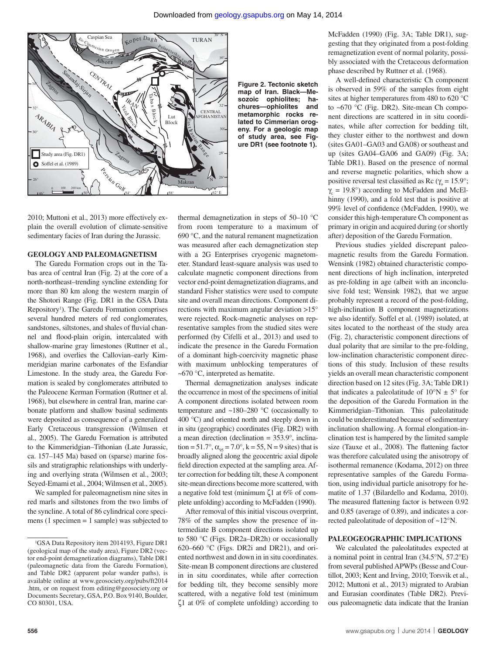

**Figure 2. Tectonic sketch map of Iran. Black—Mesozoic ophiolites; hachures—ophiolites and metamorphic rocks related to Cimmerian orogeny. For a geologic map of study area, see Figure DR1 (see footnote 1).** 

2010; Muttoni et al., 2013) more effectively explain the overall evolution of climate-sensitive sedimentary facies of Iran during the Jurassic.

#### **GEOLOGY AND PALEOMAGNETISM**

The Garedu Formation crops out in the Tabas area of central Iran (Fig. 2) at the core of a north-northeast–trending syncline extending for more than 80 km along the western margin of the Shotori Range (Fig. DR1 in the GSA Data Repository<sup>1</sup>). The Garedu Formation comprises several hundred meters of red conglomerates, sandstones, siltstones, and shales of fluvial channel and flood-plain origin, intercalated with shallow-marine gray limestones (Ruttner et al., 1968), and overlies the Callovian–early Kimmeridgian marine carbonates of the Esfandiar Limestone. In the study area, the Garedu Formation is sealed by conglomerates attributed to the Paleocene Kerman Formation (Ruttner et al. 1968), but elsewhere in central Iran, marine carbonate platform and shallow basinal sediments were deposited as consequence of a generalized Early Cretaceous transgression (Wilmsen et al., 2005). The Garedu Formation is attributed to the Kimmeridgian–Tithonian (Late Jurassic, ca. 157–145 Ma) based on (sparse) marine fossils and stratigraphic relationships with underlying and overlying strata (Wilmsen et al., 2003; Seyed-Emami et al., 2004; Wilmsen et al., 2005).

We sampled for paleomagnetism nine sites in red marls and siltstones from the two limbs of the syncline. A total of 86 cylindrical core specimens (1 specimen = 1 sample) was subjected to

thermal demagnetization in steps of 50–10 °C from room temperature to a maximum of 690 °C, and the natural remanent magnetization was measured after each demagnetization step with a 2G Enterprises cryogenic magnetometer. Standard least-square analysis was used to calculate magnetic component directions from vector end-point demagnetization diagrams, and standard Fisher statistics were used to compute site and overall mean directions. Component directions with maximum angular deviation >15° were rejected. Rock-magnetic analyses on representative samples from the studied sites were performed (by Cifelli et al., 2013) and used to indicate the presence in the Garedu Formation of a dominant high-coercivity magnetic phase with maximum unblocking temperatures of  $~\sim$ 670 °C, interpreted as hematite.

Thermal demagnetization analyses indicate the occurrence in most of the specimens of initial A component directions isolated between room temperature and  $~180-280~^{\circ}\text{C}$  (occasionally to 400 °C) and oriented north and steeply down in in situ (geographic) coordinates (Fig. DR2) with a mean direction (declination = 353.9°, inclination = 51.7°,  $\alpha_{.05}$  = 7.0°, k = 55, N = 9 sites) that is broadly aligned along the geocentric axial dipole field direction expected at the sampling area. After correction for bedding tilt, these A component site-mean directions become more scattered, with a negative fold test (minimum ζ1 at 6% of complete unfolding) according to McFadden (1990).

After removal of this initial viscous overprint, 78% of the samples show the presence of intermediate B component directions isolated up to 580 °C (Figs. DR2a–DR2h) or occasionally 620–660 °C (Figs. DR2i and DR21), and oriented northwest and down in in situ coordinates. Site-mean B component directions are clustered in in situ coordinates, while after correction for bedding tilt, they become sensibly more scattered, with a negative fold test (minimum ζ1 at 0% of complete unfolding) according to McFadden (1990) (Fig. 3A; Table DR1), suggesting that they originated from a post-folding remagnetization event of normal polarity, possibly associated with the Cretaceous deformation phase described by Ruttner et al. (1968).

A well-defined characteristic Ch component is observed in 59% of the samples from eight sites at higher temperatures from 480 to 620 °C to ~670 °C (Fig. DR2). Site-mean Ch component directions are scattered in in situ coordinates, while after correction for bedding tilt, they cluster either to the northwest and down (sites GA01–GA03 and GA08) or southeast and up (sites GA04–GA06 and GA09) (Fig. 3A; Table DR1). Based on the presence of normal and reverse magnetic polarities, which show a positive reversal test classified as Rc ( $\gamma_0 = 15.9^\circ$ ;  $\gamma_c = 19.8^\circ$ ) according to McFadden and McElhinny (1990), and a fold test that is positive at 99% level of confidence (McFadden, 1990), we consider this high-temperature Ch component as primary in origin and acquired during (or shortly after) deposition of the Garedu Formation.

Previous studies yielded discrepant paleomagnetic results from the Garedu Formation. Wensink (1982) obtained characteristic component directions of high inclination, interpreted as pre-folding in age (albeit with an inconclusive fold test; Wensink 1982), that we argue probably represent a record of the post-folding, high-inclination B component magnetizations we also identify. Soffel et al. (1989) isolated, at sites located to the northeast of the study area (Fig. 2), characteristic component directions of dual polarity that are similar to the pre-folding, low-inclination characteristic component directions of this study. Inclusion of these results yields an overall mean characteristic component direction based on 12 sites (Fig. 3A; Table DR1) that indicates a paleolatitude of  $10^{\circ}$ N  $\pm$  5° for the deposition of the Garedu Formation in the Kimmeridgian–Tithonian. This paleolatitude could be underestimated because of sedimentary inclination shallowing. A formal elongation-inclination test is hampered by the limited sample size (Tauxe et al., 2008). The flattening factor was therefore calculated using the anisotropy of isothermal remanence (Kodama, 2012) on three representative samples of the Garedu Formation, using individual particle anisotropy for hematite of 1.37 (Bilardello and Kodama, 2010). The measured flattening factor is between 0.92 and 0.85 (average of 0.89), and indicates a corrected paleolatitude of deposition of ~12°N.

#### **PALEOGEOGRAPHIC IMPLICATIONS**

We calculated the paleolatitudes expected at a nominal point in central Iran (34.5°N, 57.2°E) from several published APWPs (Besse and Courtillot, 2003; Kent and Irving, 2010; Torsvik et al., 2012; Muttoni et al., 2013) migrated to Arabian and Eurasian coordinates (Table DR2). Previous paleomagnetic data indicate that the Iranian

<sup>1</sup> GSA Data Repository item 2014193, Figure DR1 (geological map of the study area), Figure DR2 (vector end-point demagnetization diagrams), Table DR1 (paleomagnetic data from the Garedu Formation), and Table DR2 (apparent polar wander paths), is available online at www.geosociety.org/pubs/ft2014 .htm, or on request from editing@geosociety.org or Documents Secretary, GSA, P.O. Box 9140, Boulder, CO 80301, USA.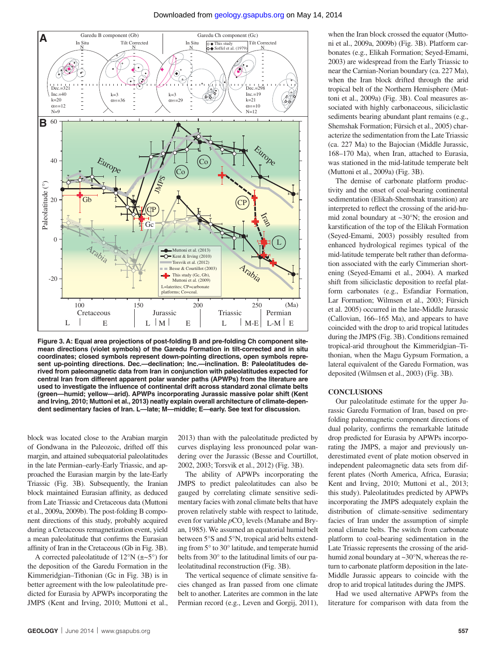

**Figure 3. A: Equal area projections of post-folding B and pre-folding Ch component sitemean directions (violet symbols) of the Garedu Formation in tilt-corrected and in situ coordinates; closed symbols represent down-pointing directions, open symbols represent up-pointing directions. Dec.—declination; Inc.—inclination. B: Paleolatitudes derived from paleomagnetic data from Iran in conjunction with paleolatitudes expected for central Iran from different apparent polar wander paths (APWPs) from the literature are**  used to investigate the influence of continental drift across standard zonal climate belts **(green—humid; yellow—arid). APWPs incorporating Jurassic massive polar shift (Kent and Irving, 2010; Muttoni et al., 2013) neatly explain overall architecture of climate-dependent sedimentary facies of Iran. L—late; M—middle; E—early. See text for discussion.** 

block was located close to the Arabian margin of Gondwana in the Paleozoic, drifted off this margin, and attained subequatorial paleolatitudes in the late Permian–early-Early Triassic, and approached the Eurasian margin by the late-Early Triassic (Fig. 3B). Subsequently, the Iranian block maintained Eurasian affinity, as deduced from Late Triassic and Cretaceous data (Muttoni et al., 2009a, 2009b). The post-folding B component directions of this study, probably acquired during a Cretaceous remagnetization event, yield a mean paleolatitude that confirms the Eurasian affinity of Iran in the Cretaceous (Gb in Fig. 3B).

A corrected paleolatitude of  $12^{\circ}N$  ( $\pm$ ~5°) for the deposition of the Garedu Formation in the Kimmeridgian–Tithonian (Gc in Fig. 3B) is in better agreement with the low paleolatitude predicted for Eurasia by APWPs incorporating the JMPS (Kent and Irving, 2010; Muttoni et al., 2013) than with the paleolatitude predicted by curves displaying less pronounced polar wandering over the Jurassic (Besse and Courtillot, 2002, 2003; Torsvik et al., 2012) (Fig. 3B).

The ability of APWPs incorporating the JMPS to predict paleolatitudes can also be gauged by correlating climate sensitive sedimentary facies with zonal climate belts that have proven relatively stable with respect to latitude, even for variable  $pCO<sub>2</sub>$  levels (Manabe and Bryan, 1985). We assumed an equatorial humid belt between 5°S and 5°N, tropical arid belts extending from 5° to 30° latitude, and temperate humid belts from 30° to the latitudinal limits of our paleolatitudinal reconstruction (Fig. 3B).

The vertical sequence of climate sensitive facies changed as Iran passed from one climate belt to another. Laterites are common in the late Permian record (e.g., Leven and Gorgij, 2011),

when the Iran block crossed the equator (Muttoni et al., 2009a, 2009b) (Fig. 3B). Platform carbonates (e.g., Elikah Formation; Seyed-Emami, 2003) are widespread from the Early Triassic to near the Carnian-Norian boundary (ca. 227 Ma), when the Iran block drifted through the arid tropical belt of the Northern Hemisphere (Muttoni et al., 2009a) (Fig. 3B). Coal measures associated with highly carbonaceous, siliciclastic sediments bearing abundant plant remains (e.g., Shemshak Formation; Fürsich et al., 2005) characterize the sedimentation from the Late Triassic (ca. 227 Ma) to the Bajocian (Middle Jurassic, 168–170 Ma), when Iran, attached to Eurasia, was stationed in the mid-latitude temperate belt (Muttoni et al., 2009a) (Fig. 3B).

The demise of carbonate platform productivity and the onset of coal-bearing continental sedimentation (Elikah-Shemshak transition) are interpreted to reflect the crossing of the arid-humid zonal boundary at ~30°N; the erosion and karstification of the top of the Elikah Formation (Seyed-Emami, 2003) possibly resulted from enhanced hydrological regimes typical of the mid-latitude temperate belt rather than deformation associated with the early Cimmerian shortening (Seyed-Emami et al., 2004). A marked shift from siliciclastic deposition to reefal platform carbonates (e.g., Esfandiar Formation, Lar Formation; Wilmsen et al., 2003; Fürsich et al. 2005) occurred in the late-Middle Jurassic (Callovian, 166–165 Ma), and appears to have coincided with the drop to arid tropical latitudes during the JMPS (Fig. 3B). Conditions remained tropical-arid throughout the Kimmeridgian–Tithonian, when the Magu Gypsum Formation, a lateral equivalent of the Garedu Formation, was deposited (Wilmsen et al., 2003) (Fig. 3B).

#### **CONCLUSIONS**

Our paleolatitude estimate for the upper Jurassic Garedu Formation of Iran, based on prefolding paleomagnetic component directions of dual polarity, confirms the remarkable latitude drop predicted for Eurasia by APWPs incorporating the JMPS, a major and previously underestimated event of plate motion observed in independent paleomagnetic data sets from different plates (North America, Africa, Eurasia; Kent and Irving, 2010; Muttoni et al., 2013; this study). Paleolatitudes predicted by APWPs incorporating the JMPS adequately explain the distribution of climate-sensitive sedimentary facies of Iran under the assumption of simple zonal climate belts. The switch from carbonate platform to coal-bearing sedimentation in the Late Triassic represents the crossing of the aridhumid zonal boundary at ~30°N, whereas the return to carbonate platform deposition in the late-Middle Jurassic appears to coincide with the drop to arid tropical latitudes during the JMPS.

Had we used alternative APWPs from the literature for comparison with data from the